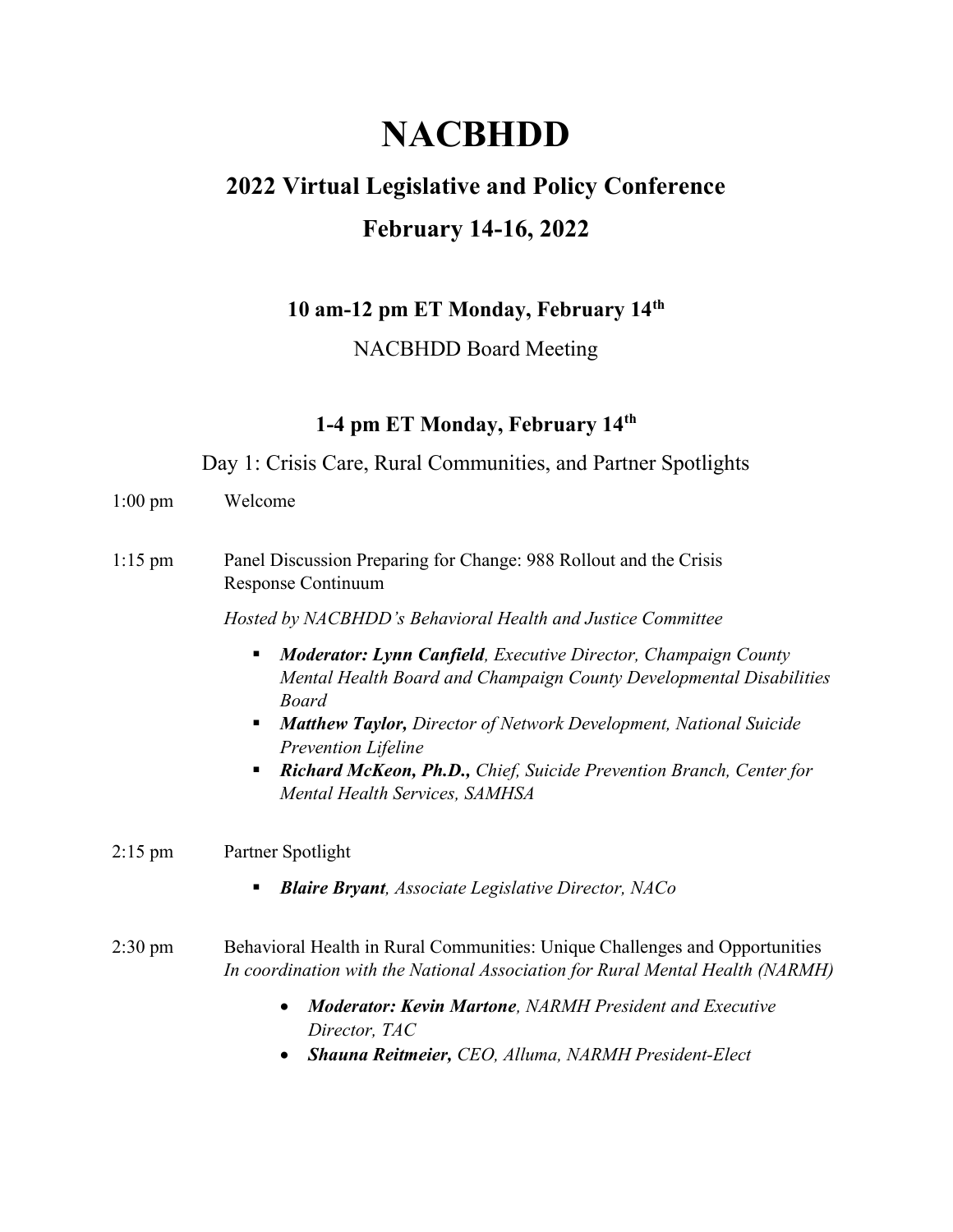# **NACBHDD**

# 2022 Virtual Legislative and Policy Conference February 14-16, 2022

10 am-12 pm ET Monday, February 14th

# NACBHDD Board Meeting

# 1-4 pm ET Monday, February 14<sup>th</sup>

Day 1: Crisis Care, Rural Communities, and Partner Spotlights

- 1:00 pm Welcome
- 1:15 pm Panel Discussion Preparing for Change: 988 Rollout and the Crisis Response Continuum

Hosted by NACBHDD's Behavioral Health and Justice Committee

- **Moderator: Lynn Canfield**, Executive Director, Champaign County Mental Health Board and Champaign County Developmental Disabilities Board
- **Matthew Taylor, Director of Network Development, National Suicide** Prevention Lifeline
- Richard McKeon, Ph.D., Chief, Suicide Prevention Branch, Center for Mental Health Services, SAMHSA

#### 2:15 pm Partner Spotlight

 $\blacksquare$  Blaire Bryant, Associate Legislative Director, NACo

#### 2:30 pm Behavioral Health in Rural Communities: Unique Challenges and Opportunities In coordination with the National Association for Rural Mental Health (NARMH)

- Moderator: Kevin Martone, NARMH President and Executive Director, TAC
- Shauna Reitmeier, CEO, Alluma, NARMH President-Elect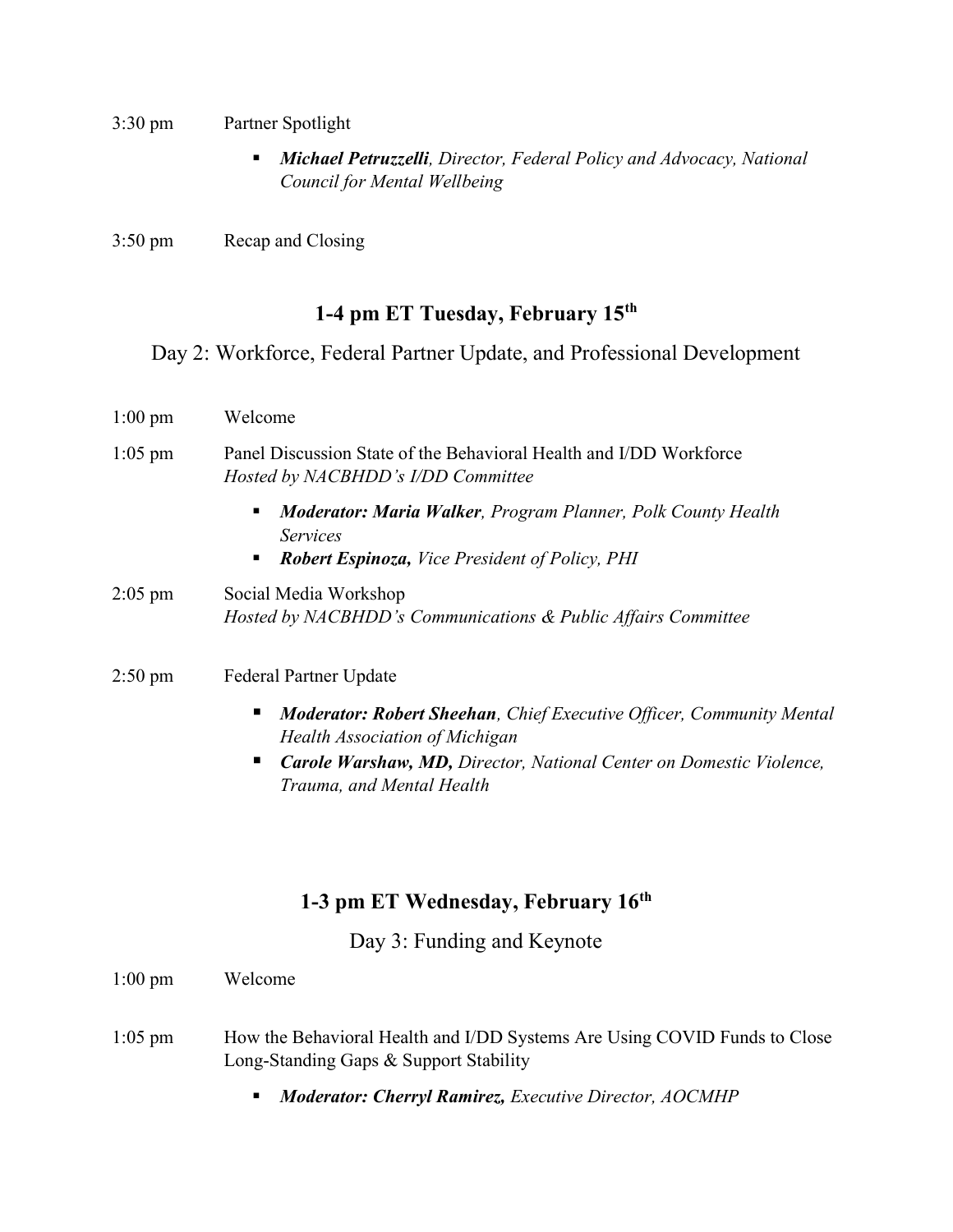- 3:30 pm Partner Spotlight
	- **Michael Petruzzelli**, Director, Federal Policy and Advocacy, National Council for Mental Wellbeing
- 3:50 pm Recap and Closing

# 1-4 pm ET Tuesday, February 15<sup>th</sup>

# Day 2: Workforce, Federal Partner Update, and Professional Development

| $1:00 \text{ pm}$ | Welcome                                                                                                                                                                 |
|-------------------|-------------------------------------------------------------------------------------------------------------------------------------------------------------------------|
| $1:05$ pm         | Panel Discussion State of the Behavioral Health and I/DD Workforce<br>Hosted by NACBHDD's I/DD Committee                                                                |
|                   | <b>Moderator: Maria Walker, Program Planner, Polk County Health</b><br>$\blacksquare$<br><i>Services</i><br><b>Robert Espinoza, Vice President of Policy, PHI</b><br>п. |
| $2:05$ pm         | Social Media Workshop<br>Hosted by NACBHDD's Communications & Public Affairs Committee                                                                                  |
| 2:50 pm           | <b>Federal Partner Update</b>                                                                                                                                           |

- **Moderator: Robert Sheehan**, Chief Executive Officer, Community Mental Health Association of Michigan
- **Carole Warshaw, MD, Director, National Center on Domestic Violence,** Trauma, and Mental Health

# 1-3 pm ET Wednesday, February 16<sup>th</sup>

Day 3: Funding and Keynote

| $1:00 \text{ pm}$ | Welcome                                                                                                             |
|-------------------|---------------------------------------------------------------------------------------------------------------------|
| $1:05$ pm         | How the Behavioral Health and I/DD Systems Are Using COVID Funds to Close<br>Long-Standing Gaps & Support Stability |
|                   | <b>Moderator: Cherryl Ramirez, Executive Director, AOCMHP</b><br>$\blacksquare$ .                                   |